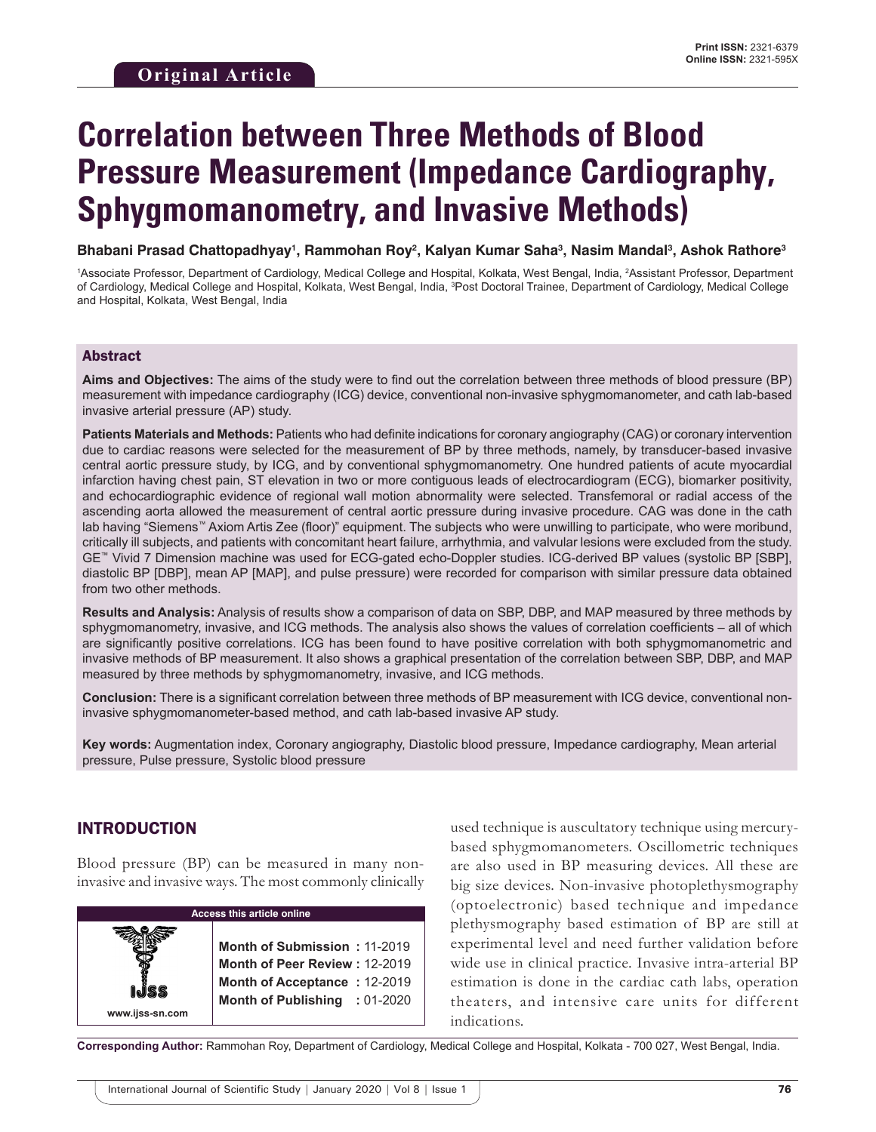# **Correlation between Three Methods of Blood Pressure Measurement (Impedance Cardiography, Sphygmomanometry, and Invasive Methods)**

**Bhabani Prasad Chattopadhyay1 , Rammohan Roy2 , Kalyan Kumar Saha3 , Nasim Mandal3 , Ashok Rathore3**

<sup>1</sup>Associate Professor, Department of Cardiology, Medical College and Hospital, Kolkata, West Bengal, India, <sup>2</sup>Assistant Professor, Department of Cardiology, Medical College and Hospital, Kolkata, West Bengal, India, <sup>3</sup>Post Doctoral Trainee, Department of Cardiology, Medical College and Hospital, Kolkata, West Bengal, India

## Abstract

**Aims and Objectives:** The aims of the study were to find out the correlation between three methods of blood pressure (BP) measurement with impedance cardiography (ICG) device, conventional non-invasive sphygmomanometer, and cath lab-based invasive arterial pressure (AP) study.

**Patients Materials and Methods:** Patients who had definite indications for coronary angiography (CAG) or coronary intervention due to cardiac reasons were selected for the measurement of BP by three methods, namely, by transducer-based invasive central aortic pressure study, by ICG, and by conventional sphygmomanometry. One hundred patients of acute myocardial infarction having chest pain, ST elevation in two or more contiguous leads of electrocardiogram (ECG), biomarker positivity, and echocardiographic evidence of regional wall motion abnormality were selected. Transfemoral or radial access of the ascending aorta allowed the measurement of central aortic pressure during invasive procedure. CAG was done in the cath lab having "Siemens™ Axiom Artis Zee (floor)" equipment. The subjects who were unwilling to participate, who were moribund, critically ill subjects, and patients with concomitant heart failure, arrhythmia, and valvular lesions were excluded from the study. GE™ Vivid 7 Dimension machine was used for ECG-gated echo-Doppler studies. ICG-derived BP values (systolic BP [SBP], diastolic BP [DBP], mean AP [MAP], and pulse pressure) were recorded for comparison with similar pressure data obtained from two other methods.

**Results and Analysis:** Analysis of results show a comparison of data on SBP, DBP, and MAP measured by three methods by sphygmomanometry, invasive, and ICG methods. The analysis also shows the values of correlation coefficients – all of which are significantly positive correlations. ICG has been found to have positive correlation with both sphygmomanometric and invasive methods of BP measurement. It also shows a graphical presentation of the correlation between SBP, DBP, and MAP measured by three methods by sphygmomanometry, invasive, and ICG methods.

**Conclusion:** There is a significant correlation between three methods of BP measurement with ICG device, conventional noninvasive sphygmomanometer-based method, and cath lab-based invasive AP study.

**Key words:** Augmentation index, Coronary angiography, Diastolic blood pressure, Impedance cardiography, Mean arterial pressure, Pulse pressure, Systolic blood pressure

# INTRODUCTION

Blood pressure (BP) can be measured in many noninvasive and invasive ways. The most commonly clinically

| <b>Access this article online</b> |                                                                                                                                |  |  |  |  |
|-----------------------------------|--------------------------------------------------------------------------------------------------------------------------------|--|--|--|--|
| www.ijss-sn.com                   | Month of Submission: 11-2019<br>Month of Peer Review: 12-2019<br>Month of Acceptance: 12-2019<br>Month of Publishing : 01-2020 |  |  |  |  |

used technique is auscultatory technique using mercurybased sphygmomanometers. Oscillometric techniques are also used in BP measuring devices. All these are big size devices. Non-invasive photoplethysmography (optoelectronic) based technique and impedance plethysmography based estimation of BP are still at experimental level and need further validation before wide use in clinical practice. Invasive intra-arterial BP estimation is done in the cardiac cath labs, operation theaters, and intensive care units for different indications.

**Corresponding Author:** Rammohan Roy, Department of Cardiology, Medical College and Hospital, Kolkata - 700 027, West Bengal, India.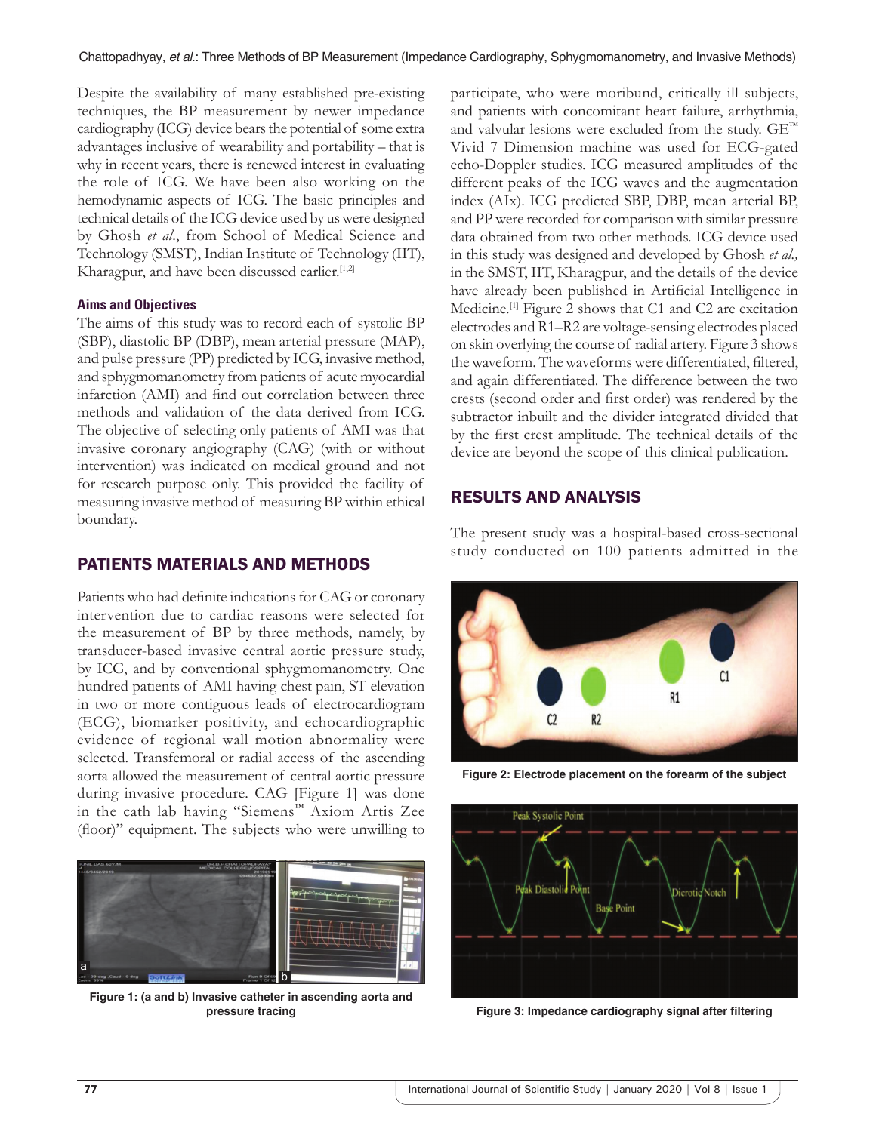Despite the availability of many established pre-existing techniques, the BP measurement by newer impedance cardiography (ICG) device bears the potential of some extra advantages inclusive of wearability and portability – that is why in recent years, there is renewed interest in evaluating the role of ICG. We have been also working on the hemodynamic aspects of ICG. The basic principles and technical details of the ICG device used by us were designed by Ghosh *et al*., from School of Medical Science and Technology (SMST), Indian Institute of Technology (IIT), Kharagpur, and have been discussed earlier. $[1,2]$ 

## **Aims and Objectives**

The aims of this study was to record each of systolic BP (SBP), diastolic BP (DBP), mean arterial pressure (MAP), and pulse pressure (PP) predicted by ICG, invasive method, and sphygmomanometry from patients of acute myocardial infarction (AMI) and find out correlation between three methods and validation of the data derived from ICG. The objective of selecting only patients of AMI was that invasive coronary angiography (CAG) (with or without intervention) was indicated on medical ground and not for research purpose only. This provided the facility of measuring invasive method of measuring BP within ethical boundary.

# PATIENTS MATERIALS AND METHODS

Patients who had definite indications for CAG or coronary intervention due to cardiac reasons were selected for the measurement of BP by three methods, namely, by transducer-based invasive central aortic pressure study, by ICG, and by conventional sphygmomanometry. One hundred patients of AMI having chest pain, ST elevation in two or more contiguous leads of electrocardiogram (ECG), biomarker positivity, and echocardiographic evidence of regional wall motion abnormality were selected. Transfemoral or radial access of the ascending aorta allowed the measurement of central aortic pressure during invasive procedure. CAG [Figure 1] was done in the cath lab having "Siemens™ Axiom Artis Zee (floor)" equipment. The subjects who were unwilling to



**Figure 1: (a and b) Invasive catheter in ascending aorta and pressure tracing**

participate, who were moribund, critically ill subjects, and patients with concomitant heart failure, arrhythmia, and valvular lesions were excluded from the study. GE™ Vivid 7 Dimension machine was used for ECG-gated echo-Doppler studies. ICG measured amplitudes of the different peaks of the ICG waves and the augmentation index (AIx). ICG predicted SBP, DBP, mean arterial BP, and PP were recorded for comparison with similar pressure data obtained from two other methods. ICG device used in this study was designed and developed by Ghosh *et al.,* in the SMST, IIT, Kharagpur, and the details of the device have already been published in Artificial Intelligence in Medicine.<sup>[1]</sup> Figure 2 shows that C1 and C2 are excitation electrodes and R1–R2 are voltage-sensing electrodes placed on skin overlying the course of radial artery. Figure 3 shows the waveform. The waveforms were differentiated, filtered, and again differentiated. The difference between the two crests (second order and first order) was rendered by the subtractor inbuilt and the divider integrated divided that by the first crest amplitude. The technical details of the device are beyond the scope of this clinical publication.

# RESULTS AND ANALYSIS

The present study was a hospital-based cross-sectional study conducted on 100 patients admitted in the



**Figure 2: Electrode placement on the forearm of the subject**



**Figure 3: Impedance cardiography signal after filtering**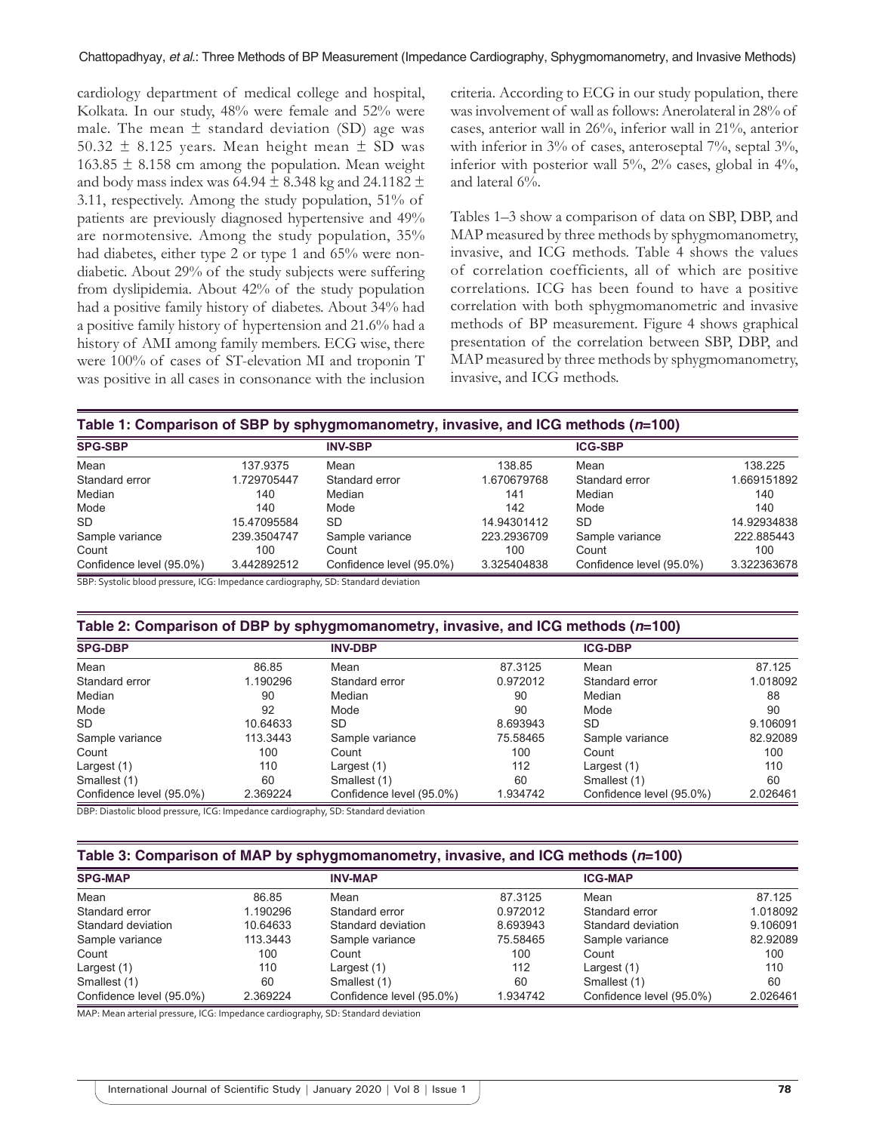cardiology department of medical college and hospital, Kolkata. In our study, 48% were female and 52% were male. The mean  $\pm$  standard deviation (SD) age was 50.32  $\pm$  8.125 years. Mean height mean  $\pm$  SD was 163.85  $\pm$  8.158 cm among the population. Mean weight and body mass index was  $64.94 \pm 8.348$  kg and  $24.1182 \pm 1.182$ 3.11, respectively. Among the study population, 51% of patients are previously diagnosed hypertensive and 49% are normotensive. Among the study population, 35% had diabetes, either type 2 or type 1 and 65% were nondiabetic. About 29% of the study subjects were suffering from dyslipidemia. About 42% of the study population had a positive family history of diabetes. About 34% had a positive family history of hypertension and 21.6% had a history of AMI among family members. ECG wise, there were 100% of cases of ST-elevation MI and troponin T was positive in all cases in consonance with the inclusion criteria. According to ECG in our study population, there was involvement of wall as follows: Anerolateral in 28% of cases, anterior wall in 26%, inferior wall in 21%, anterior with inferior in 3% of cases, anteroseptal 7%, septal 3%, inferior with posterior wall 5%, 2% cases, global in 4%, and lateral 6%.

Tables 1–3 show a comparison of data on SBP, DBP, and MAP measured by three methods by sphygmomanometry, invasive, and ICG methods. Table 4 shows the values of correlation coefficients, all of which are positive correlations. ICG has been found to have a positive correlation with both sphygmomanometric and invasive methods of BP measurement. Figure 4 shows graphical presentation of the correlation between SBP, DBP, and MAP measured by three methods by sphygmomanometry, invasive, and ICG methods.

| Table 1: Comparison of SBP by sphygmomanometry, invasive, and ICG methods (n=100) |             |                |             |                |             |
|-----------------------------------------------------------------------------------|-------------|----------------|-------------|----------------|-------------|
| <b>SPG-SBP</b>                                                                    |             | <b>INV-SBP</b> |             | <b>ICG-SBP</b> |             |
| Mean                                                                              | 137.9375    | Mean           | 138.85      | Mean           | 138.225     |
| Standard error                                                                    | 1.729705447 | Standard error | 1.670679768 | Standard error | 1.669151892 |
| Median                                                                            | 140         | Median         | 141         | Median         | 140         |
|                                                                                   |             |                |             |                |             |

| Median                                                                          | 140         | Median                   | 141         | Median                   | 140         |
|---------------------------------------------------------------------------------|-------------|--------------------------|-------------|--------------------------|-------------|
| Mode                                                                            | 140         | Mode                     | 142         | Mode                     | 140         |
| SD                                                                              | 15.47095584 | <b>SD</b>                | 14.94301412 | <b>SD</b>                | 14.92934838 |
| Sample variance                                                                 | 239.3504747 | Sample variance          | 223.2936709 | Sample variance          | 222.885443  |
| Count                                                                           | 100         | Count                    | 100         | Count                    | 100         |
| Confidence level (95.0%)                                                        | 3.442892512 | Confidence level (95.0%) | 3.325404838 | Confidence level (95.0%) | 3.322363678 |
| CDD. Curtolic blood proccure JCC. Impodence cardiography CD. Ctandard doviation |             |                          |             |                          |             |

SBP: Systolic blood pressure, ICG: Impedance cardiography, SD: Standard deviation

#### **Table 2: Comparison of DBP by sphygmomanometry, invasive, and ICG methods (***n***=100)**

| <b>SPG-DBP</b>           |          | <b>INV-DBP</b>           |          | <b>ICG-DBP</b>           |          |
|--------------------------|----------|--------------------------|----------|--------------------------|----------|
| Mean                     | 86.85    | Mean                     | 87.3125  | Mean                     | 87.125   |
| Standard error           | 1.190296 | Standard error           | 0.972012 | Standard error           | 1.018092 |
| Median                   | 90       | Median                   | 90       | Median                   | 88       |
| Mode                     | 92       | Mode                     | 90       | Mode                     | 90       |
| <b>SD</b>                | 10.64633 | SD                       | 8.693943 | SD.                      | 9.106091 |
| Sample variance          | 113.3443 | Sample variance          | 75.58465 | Sample variance          | 82.92089 |
| Count                    | 100      | Count                    | 100      | Count                    | 100      |
| Largest (1)              | 110      | Largest (1)              | 112      | Largest (1)              | 110      |
| Smallest (1)             | 60       | Smallest (1)             | 60       | Smallest (1)             | 60       |
| Confidence level (95.0%) | 2.369224 | Confidence level (95.0%) | 1.934742 | Confidence level (95.0%) | 2.026461 |

DBP: Diastolic blood pressure, ICG: Impedance cardiography, SD: Standard deviation

## **Table 3: Comparison of MAP by sphygmomanometry, invasive, and ICG methods (***n***=100)**

| <b>SPG-MAP</b>           |          | <b>INV-MAP</b>           |          | <b>ICG-MAP</b>           |          |
|--------------------------|----------|--------------------------|----------|--------------------------|----------|
| Mean                     | 86.85    | Mean                     | 87.3125  | Mean                     | 87.125   |
| Standard error           | 1.190296 | Standard error           | 0.972012 | Standard error           | 1.018092 |
| Standard deviation       | 10.64633 | Standard deviation       | 8.693943 | Standard deviation       | 9.106091 |
| Sample variance          | 113.3443 | Sample variance          | 75.58465 | Sample variance          | 82.92089 |
| Count                    | 100      | Count                    | 100      | Count                    | 100      |
| Largest (1)              | 110      | Largest $(1)$            | 112      | Largest (1)              | 110      |
| Smallest (1)             | 60       | Smallest (1)             | 60       | Smallest (1)             | 60       |
| Confidence level (95.0%) | 2.369224 | Confidence level (95.0%) | 1.934742 | Confidence level (95.0%) | 2.026461 |

MAP: Mean arterial pressure, ICG: Impedance cardiography, SD: Standard deviation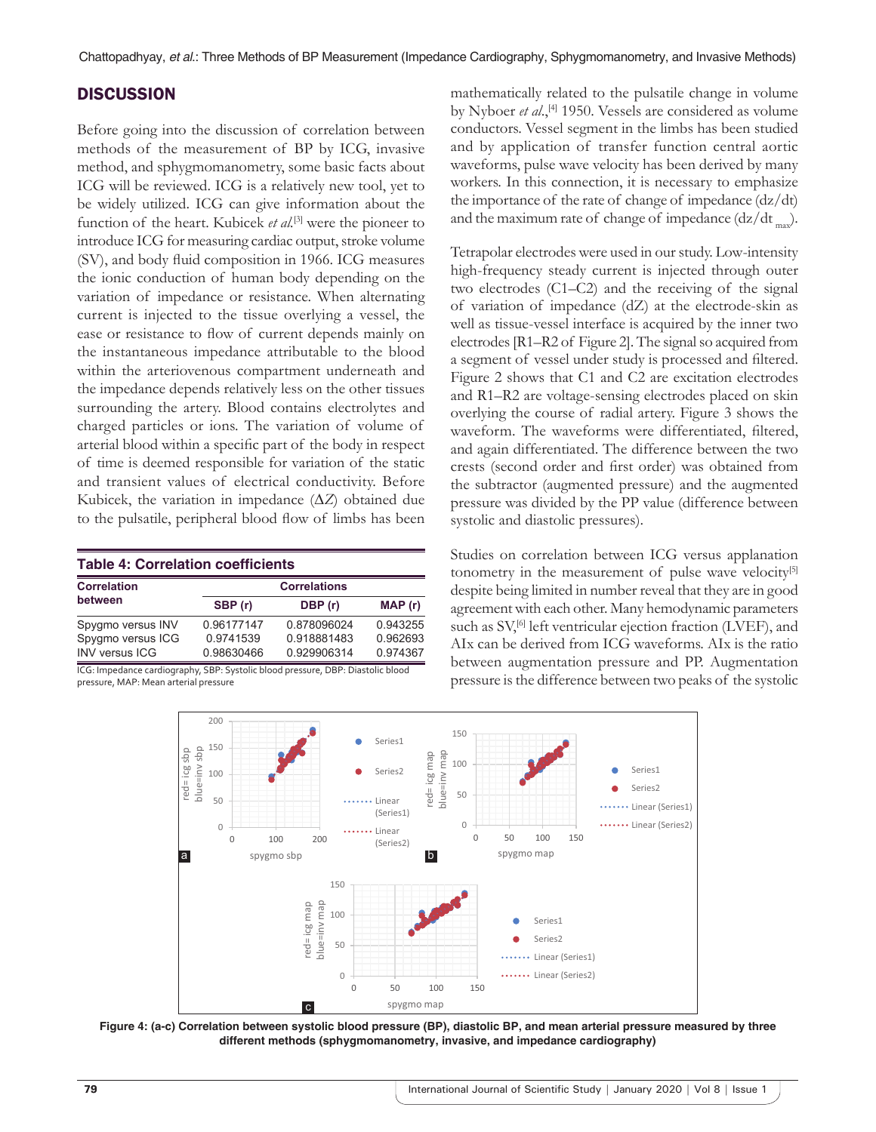# **DISCUSSION**

Before going into the discussion of correlation between methods of the measurement of BP by ICG, invasive method, and sphygmomanometry, some basic facts about ICG will be reviewed. ICG is a relatively new tool, yet to be widely utilized. ICG can give information about the function of the heart. Kubicek *et al.*<sup>[3]</sup> were the pioneer to introduce ICG for measuring cardiac output, stroke volume (SV), and body fluid composition in 1966. ICG measures the ionic conduction of human body depending on the variation of impedance or resistance. When alternating current is injected to the tissue overlying a vessel, the ease or resistance to flow of current depends mainly on the instantaneous impedance attributable to the blood within the arteriovenous compartment underneath and the impedance depends relatively less on the other tissues surrounding the artery. Blood contains electrolytes and charged particles or ions. The variation of volume of arterial blood within a specific part of the body in respect of time is deemed responsible for variation of the static and transient values of electrical conductivity. Before Kubicek, the variation in impedance (∆*Z*) obtained due to the pulsatile, peripheral blood flow of limbs has been

| <b>Table 4: Correlation coefficients</b> |             |                     |  |  |  |
|------------------------------------------|-------------|---------------------|--|--|--|
|                                          |             |                     |  |  |  |
| SBP (r)                                  | DBP (r)     | MAP(r)              |  |  |  |
| 0.96177147                               | 0.878096024 | 0.943255            |  |  |  |
| 0.9741539                                | 0.918881483 | 0.962693            |  |  |  |
| 0.98630466                               | 0.929906314 | 0.974367            |  |  |  |
|                                          |             | <b>Correlations</b> |  |  |  |

cardiography, SBP: Systo pressure, MAP: Mean arterial pressure

mathematically related to the pulsatile change in volume by Nyboer *et al.*,<sup>[4]</sup> 1950. Vessels are considered as volume conductors. Vessel segment in the limbs has been studied and by application of transfer function central aortic waveforms, pulse wave velocity has been derived by many workers. In this connection, it is necessary to emphasize the importance of the rate of change of impedance (dz/dt) and the maximum rate of change of impedance  $\frac{dz}{dt}$ ,

Tetrapolar electrodes were used in our study. Low-intensity high-frequency steady current is injected through outer two electrodes (C1–C2) and the receiving of the signal of variation of impedance (dZ) at the electrode-skin as well as tissue-vessel interface is acquired by the inner two electrodes [R1–R2 of Figure 2]. The signal so acquired from a segment of vessel under study is processed and filtered. Figure 2 shows that C1 and C2 are excitation electrodes and R1–R2 are voltage-sensing electrodes placed on skin overlying the course of radial artery. Figure 3 shows the waveform. The waveforms were differentiated, filtered, and again differentiated. The difference between the two crests (second order and first order) was obtained from the subtractor (augmented pressure) and the augmented pressure was divided by the PP value (difference between systolic and diastolic pressures).

Studies on correlation between ICG versus applanation tonometry in the measurement of pulse wave velocity $[5]$ despite being limited in number reveal that they are in good agreement with each other. Many hemodynamic parameters such as SV,<sup>[6]</sup> left ventricular ejection fraction (LVEF), and AIx can be derived from ICG waveforms. AIx is the ratio between augmentation pressure and PP. Augmentation pressure is the difference between two peaks of the systolic



**Figure 4: (a-c) Correlation between systolic blood pressure (BP), diastolic BP, and mean arterial pressure measured by three different methods (sphygmomanometry, invasive, and impedance cardiography)**